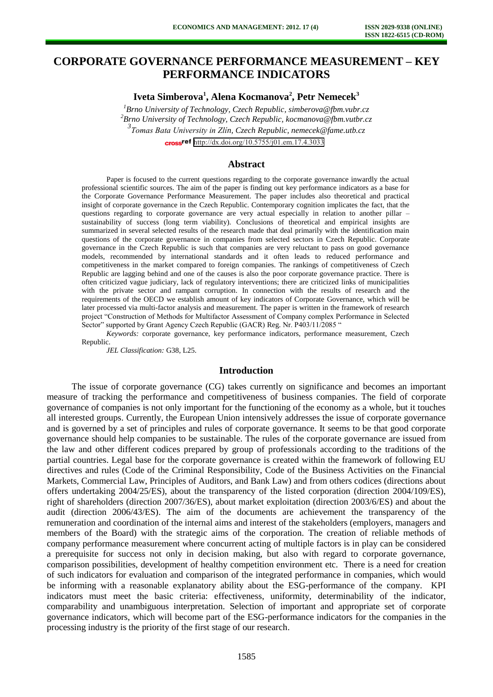# **CORPORATE GOVERNANCE PERFORMANCE MEASUREMENT – KEY PERFORMANCE INDICATORS**

**Iveta Simberova<sup>1</sup> , Alena Kocmanova<sup>2</sup> , Petr Nemecek<sup>3</sup>**

*Brno University of Technology, Czech Republic[, simberova@fbm.vubr.cz](mailto:simberova@fbm.vubr.cz) Brno University of Technology, Czech Republic, [kocmanova@fbm.vutbr.cz](mailto:kocmanova@fbm.vutbr.cz) Tomas Bata University in Zlín, Czech Republic, [nemecek@fame.utb.cz](mailto:nemecek@fame.utb.cz)* cross<sup>ref</sup> <http://dx.doi.org/10.5755/j01.em.17.4.3033>

# **Abstract**

Paper is focused to the current questions regarding to the corporate governance inwardly the actual professional scientific sources. The aim of the paper is finding out key performance indicators as a base for the Corporate Governance Performance Measurement. The paper includes also theoretical and practical insight of corporate governance in the Czech Republic. Contemporary cognition implicates the fact, that the questions regarding to corporate governance are very actual especially in relation to another pillar – sustainability of success (long term viability). Conclusions of theoretical and empirical insights are summarized in several selected results of the research made that deal primarily with the identification main questions of the corporate governance in companies from selected sectors in Czech Republic. Corporate governance in the Czech Republic is such that companies are very reluctant to pass on good governance models, recommended by international standards and it often leads to reduced performance and competitiveness in the market compared to foreign companies. The rankings of competitiveness of Czech Republic are lagging behind and one of the causes is also the poor corporate governance practice. There is often criticized vague judiciary, lack of regulatory interventions; there are criticized links of municipalities with the private sector and rampant corruption. In connection with the results of research and the requirements of the OECD we establish amount of key indicators of Corporate Governance, which will be later processed via multi-factor analysis and measurement. The paper is written in the framework of research project "Construction of Methods for Multifactor Assessment of Company complex Performance in Selected Sector" supported by Grant Agency Czech Republic (GACR) Reg. Nr. P403/11/2085 "

*Keywords:* corporate governance, key performance indicators, performance measurement, Czech Republic.

*JEL Classification:* G38, L25.

## **Introduction**

The issue of corporate governance (CG) takes currently on significance and becomes an important measure of tracking the performance and competitiveness of business companies. The field of corporate governance of companies is not only important for the functioning of the economy as a whole, but it touches all interested groups. Currently, the European Union intensively addresses the issue of corporate governance and is governed by a set of principles and rules of corporate governance. It seems to be that good corporate governance should help companies to be sustainable. The rules of the corporate governance are issued from the law and other different codices prepared by group of professionals according to the traditions of the partial countries. Legal base for the corporate governance is created within the framework of following EU directives and rules (Code of the Criminal Responsibility, Code of the Business Activities on the Financial Markets, Commercial Law, Principles of Auditors, and Bank Law) and from others codices (directions about offers undertaking 2004/25/ES), about the transparency of the listed corporation (direction 2004/109/ES), right of shareholders (direction 2007/36/ES), about market exploitation (direction 2003/6/ES) and about the audit (direction 2006/43/ES). The aim of the documents are achievement the transparency of the remuneration and coordination of the internal aims and interest of the stakeholders (employers, managers and members of the Board) with the strategic aims of the corporation. The creation of reliable methods of company performance measurement where concurrent acting of multiple factors is in play can be considered a prerequisite for success not only in decision making, but also with regard to corporate governance, comparison possibilities, development of healthy competition environment etc. There is a need for creation of such indicators for evaluation and comparison of the integrated performance in companies, which would be informing with a reasonable explanatory ability about the ESG-performance of the company. KPI indicators must meet the basic criteria: effectiveness, uniformity, determinability of the indicator, comparability and unambiguous interpretation. Selection of important and appropriate set of corporate governance indicators, which will become part of the ESG-performance indicators for the companies in the processing industry is the priority of the first stage of our research.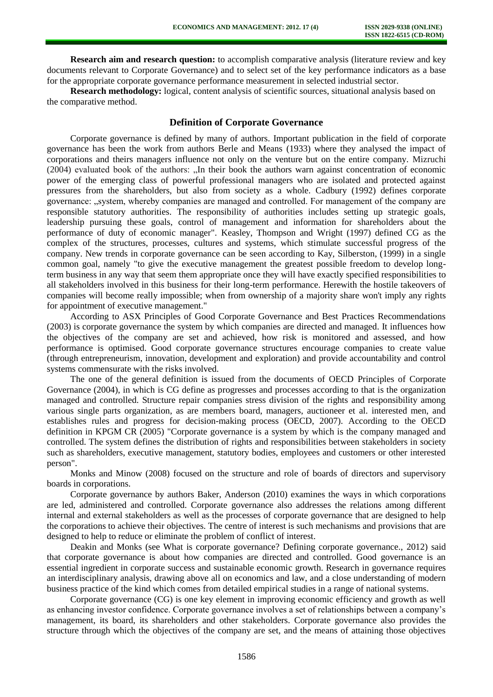**Research aim and research question:** to accomplish comparative analysis (literature review and key documents relevant to Corporate Governance) and to select set of the key performance indicators as a base for the appropriate corporate governance performance measurement in selected industrial sector.

**Research methodology:** logical, content analysis of scientific sources, situational analysis based on the comparative method.

# **Definition of Corporate Governance**

Corporate governance is defined by many of authors. Important publication in the field of corporate governance has been the work from authors Berle and Means (1933) where they analysed the impact of corporations and theirs managers influence not only on the venture but on the entire company. Mizruchi (2004) evaluated book of the authors: "In their book the authors warn against concentration of economic power of the emerging class of powerful professional managers who are isolated and protected against pressures from the shareholders, but also from society as a whole. Cadbury (1992) defines corporate governance: "system, whereby companies are managed and controlled. For management of the company are responsible statutory authorities. The responsibility of authorities includes setting up strategic goals, leadership pursuing these goals, control of management and information for shareholders about the performance of duty of economic manager". Keasley, Thompson and Wright (1997) defined CG as the complex of the structures, processes, cultures and systems, which stimulate successful progress of the company. New trends in corporate governance can be seen according to Kay, Silberston, (1999) in a single common goal, namely "to give the executive management the greatest possible freedom to develop longterm business in any way that seem them appropriate once they will have exactly specified responsibilities to all stakeholders involved in this business for their long-term performance. Herewith the hostile takeovers of companies will become really impossible; when from ownership of a majority share won't imply any rights for appointment of executive management."

According to ASX Principles of Good Corporate Governance and Best Practices Recommendations (2003) is corporate governance the system by which companies are directed and managed. It influences how the objectives of the company are set and achieved, how risk is monitored and assessed, and how performance is optimised. Good corporate governance structures encourage companies to create value (through entrepreneurism, innovation, development and exploration) and provide accountability and control systems commensurate with the risks involved.

The one of the general definition is issued from the documents of OECD Principles of Corporate Governance (2004), in which is CG define as progresses and processes according to that is the organization managed and controlled. Structure repair companies stress division of the rights and responsibility among various single parts organization, as are members board, managers, auctioneer et al. interested men, and establishes rules and progress for decision-making process (OECD, 2007). According to the OECD definition in KPGM CR (2005) "Corporate governance is a system by which is the company managed and controlled. The system defines the distribution of rights and responsibilities between stakeholders in society such as shareholders, executive management, statutory bodies, employees and customers or other interested person".

Monks and Minow (2008) focused on the structure and role of boards of directors and supervisory boards in corporations.

Corporate governance by authors Baker, Anderson (2010) examines the ways in which corporations are led, administered and controlled. Corporate governance also addresses the relations among different internal and external stakeholders as well as the processes of corporate governance that are designed to help the corporations to achieve their objectives. The centre of interest is such mechanisms and provisions that are designed to help to reduce or eliminate the problem of conflict of interest.

Deakin and Monks (see What is corporate governance? Defining corporate governance., 2012) said that corporate governance is about how companies are directed and controlled. Good governance is an essential ingredient in corporate success and sustainable economic growth. Research in governance requires an interdisciplinary analysis, drawing above all on economics and law, and a close understanding of modern business practice of the kind which comes from detailed empirical studies in a range of national systems.

Corporate governance (CG) is one key element in improving economic efficiency and growth as well as enhancing investor confidence. Corporate governance involves a set of relationships between a company's management, its board, its shareholders and other stakeholders. Corporate governance also provides the structure through which the objectives of the company are set, and the means of attaining those objectives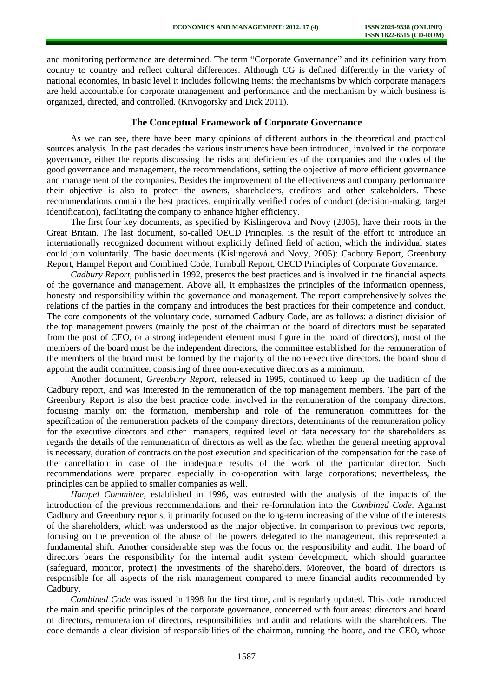and monitoring performance are determined. The term "Corporate Governance" and its definition vary from country to country and reflect cultural differences. Although CG is defined differently in the variety of national economies, in basic level it includes following items: the mechanisms by which corporate managers are held accountable for corporate management and performance and the mechanism by which business is organized, directed, and controlled. (Krivogorsky and Dick 2011).

## **The Conceptual Framework of Corporate Governance**

As we can see, there have been many opinions of different authors in the theoretical and practical sources analysis. In the past decades the various instruments have been introduced, involved in the corporate governance, either the reports discussing the risks and deficiencies of the companies and the codes of the good governance and management, the recommendations, setting the objective of more efficient governance and management of the companies. Besides the improvement of the effectiveness and company performance their objective is also to protect the owners, shareholders, creditors and other stakeholders. These recommendations contain the best practices, empirically verified codes of conduct (decision-making, target identification), facilitating the company to enhance higher efficiency.

The first four key documents, as specified by Kislingerova and Novy (2005), have their roots in the Great Britain. The last document, so-called OECD Principles, is the result of the effort to introduce an internationally recognized document without explicitly defined field of action, which the individual states could join voluntarily. The basic documents (Kislingerová and Novy, 2005): Cadbury Report, Greenbury Report, Hampel Report and Combined Code, Turnbull Report, OECD Principles of Corporate Governance.

*Cadbury Report*, published in 1992, presents the best practices and is involved in the financial aspects of the governance and management. Above all, it emphasizes the principles of the information openness, honesty and responsibility within the governance and management. The report comprehensively solves the relations of the parties in the company and introduces the best practices for their competence and conduct. The core components of the voluntary code, surnamed Cadbury Code, are as follows: a distinct division of the top management powers (mainly the post of the chairman of the board of directors must be separated from the post of CEO, or a strong independent element must figure in the board of directors), most of the members of the board must be the independent directors, the committee established for the remuneration of the members of the board must be formed by the majority of the non-executive directors, the board should appoint the audit committee, consisting of three non-executive directors as a minimum.

Another document, *Greenbury Report*, released in 1995, continued to keep up the tradition of the Cadbury report, and was interested in the remuneration of the top management members. The part of the Greenbury Report is also the best practice code, involved in the remuneration of the company directors, focusing mainly on: the formation, membership and role of the remuneration committees for the specification of the remuneration packets of the company directors, determinants of the remuneration policy for the executive directors and other managers, required level of data necessary for the shareholders as regards the details of the remuneration of directors as well as the fact whether the general meeting approval is necessary, duration of contracts on the post execution and specification of the compensation for the case of the cancellation in case of the inadequate results of the work of the particular director. Such recommendations were prepared especially in co-operation with large corporations; nevertheless, the principles can be applied to smaller companies as well.

*Hampel Committee,* established in 1996, was entrusted with the analysis of the impacts of the introduction of the previous recommendations and their re-formulation into the *Combined Code*. Against Cadbury and Greenbury reports, it primarily focused on the long-term increasing of the value of the interests of the shareholders, which was understood as the major objective. In comparison to previous two reports, focusing on the prevention of the abuse of the powers delegated to the management, this represented a fundamental shift. Another considerable step was the focus on the responsibility and audit. The board of directors bears the responsibility for the internal audit system development, which should guarantee (safeguard, monitor, protect) the investments of the shareholders. Moreover, the board of directors is responsible for all aspects of the risk management compared to mere financial audits recommended by Cadbury.

*Combined Code* was issued in 1998 for the first time, and is regularly updated. This code introduced the main and specific principles of the corporate governance, concerned with four areas: directors and board of directors, remuneration of directors, responsibilities and audit and relations with the shareholders. The code demands a clear division of responsibilities of the chairman, running the board, and the CEO, whose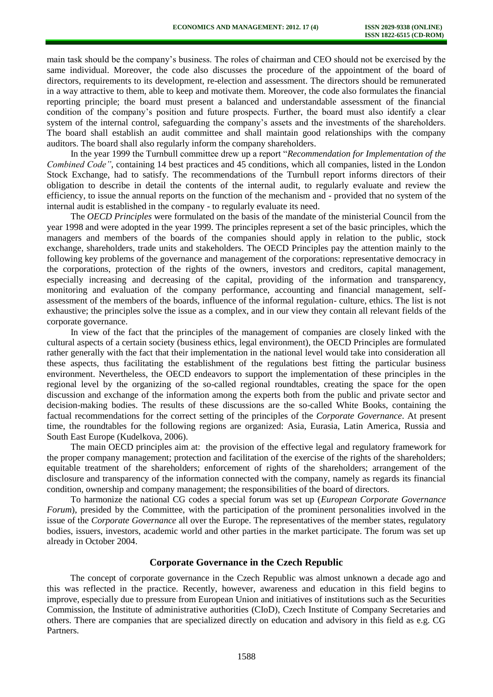main task should be the company's business. The roles of chairman and CEO should not be exercised by the same individual. Moreover, the code also discusses the procedure of the appointment of the board of directors, requirements to its development, re-election and assessment. The directors should be remunerated in a way attractive to them, able to keep and motivate them. Moreover, the code also formulates the financial reporting principle; the board must present a balanced and understandable assessment of the financial condition of the company's position and future prospects. Further, the board must also identify a clear system of the internal control, safeguarding the company's assets and the investments of the shareholders. The board shall establish an audit committee and shall maintain good relationships with the company auditors. The board shall also regularly inform the company shareholders.

In the year 1999 the Turnbull committee drew up a report "*Recommendation for Implementation of the Combined Code"*, containing 14 best practices and 45 conditions, which all companies, listed in the London Stock Exchange, had to satisfy. The recommendations of the Turnbull report informs directors of their obligation to describe in detail the contents of the internal audit, to regularly evaluate and review the efficiency, to issue the annual reports on the function of the mechanism and - provided that no system of the internal audit is established in the company - to regularly evaluate its need.

The *OECD Principles* were formulated on the basis of the mandate of the ministerial Council from the year 1998 and were adopted in the year 1999. The principles represent a set of the basic principles, which the managers and members of the boards of the companies should apply in relation to the public, stock exchange, shareholders, trade units and stakeholders. The OECD Principles pay the attention mainly to the following key problems of the governance and management of the corporations: representative democracy in the corporations, protection of the rights of the owners, investors and creditors, capital management, especially increasing and decreasing of the capital, providing of the information and transparency, monitoring and evaluation of the company performance, accounting and financial management, selfassessment of the members of the boards, influence of the informal regulation- culture, ethics. The list is not exhaustive; the principles solve the issue as a complex, and in our view they contain all relevant fields of the corporate governance.

In view of the fact that the principles of the management of companies are closely linked with the cultural aspects of a certain society (business ethics, legal environment), the OECD Principles are formulated rather generally with the fact that their implementation in the national level would take into consideration all these aspects, thus facilitating the establishment of the regulations best fitting the particular business environment. Nevertheless, the OECD endeavors to support the implementation of these principles in the regional level by the organizing of the so-called regional roundtables, creating the space for the open discussion and exchange of the information among the experts both from the public and private sector and decision-making bodies. The results of these discussions are the so-called White Books, containing the factual recommendations for the correct setting of the principles of the *Corporate Governance*. At present time, the roundtables for the following regions are organized: Asia, Eurasia, Latin America, Russia and South East Europe (Kudelkova, 2006).

The main OECD principles aim at: the provision of the effective legal and regulatory framework for the proper company management; protection and facilitation of the exercise of the rights of the shareholders; equitable treatment of the shareholders; enforcement of rights of the shareholders; arrangement of the disclosure and transparency of the information connected with the company, namely as regards its financial condition, ownership and company management; the responsibilities of the board of directors.

To harmonize the national CG codes a special forum was set up (*European Corporate Governance Forum*), presided by the Committee, with the participation of the prominent personalities involved in the issue of the *Corporate Governance* all over the Europe. The representatives of the member states, regulatory bodies, issuers, investors, academic world and other parties in the market participate. The forum was set up already in October 2004.

# **Corporate Governance in the Czech Republic**

The concept of corporate governance in the Czech Republic was almost unknown a decade ago and this was reflected in the practice. Recently, however, awareness and education in this field begins to improve, especially due to pressure from European Union and initiatives of institutions such as the Securities Commission, the Institute of administrative authorities (CIoD), Czech Institute of Company Secretaries and others. There are companies that are specialized directly on education and advisory in this field as e.g. CG Partners.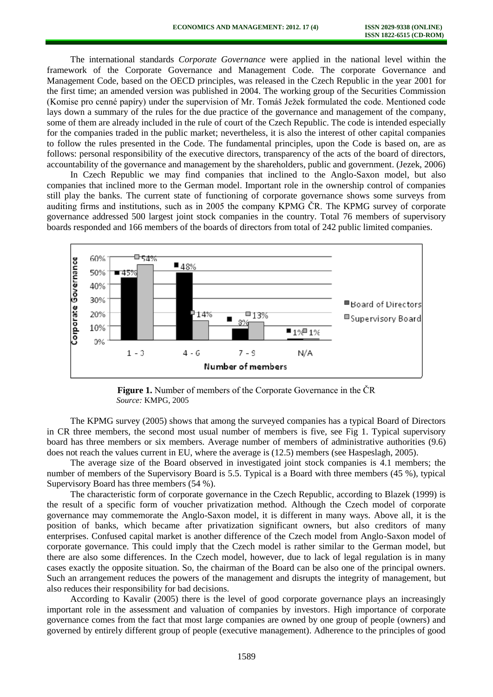The international standards *Corporate Governance* were applied in the national level within the framework of the Corporate Governance and Management Code. The corporate Governance and Management Code, based on the OECD principles, was released in the Czech Republic in the year 2001 for the first time; an amended version was published in 2004. The working group of the Securities Commission (Komise pro cenné papíry) under the supervision of Mr. Tomáš Ježek formulated the code. Mentioned code lays down a summary of the rules for the due practice of the governance and management of the company, some of them are already included in the rule of court of the Czech Republic. The code is intended especially for the companies traded in the public market; nevertheless, it is also the interest of other capital companies to follow the rules presented in the Code. The fundamental principles, upon the Code is based on, are as follows: personal responsibility of the executive directors, transparency of the acts of the board of directors, accountability of the governance and management by the shareholders, public and government. (Jezek, 2006)

In Czech Republic we may find companies that inclined to the Anglo-Saxon model, but also companies that inclined more to the German model. Important role in the ownership control of companies still play the banks. The current state of functioning of corporate governance shows some surveys from auditing firms and institutions, such as in 2005 the company KPMG ČR. The KPMG survey of corporate governance addressed 500 largest joint stock companies in the country. Total 76 members of supervisory boards responded and 166 members of the boards of directors from total of 242 public limited companies.



**Figure 1.** Number of members of the Corporate Governance in the ČR *Source:* KMPG, 2005

The KPMG survey (2005) shows that among the surveyed companies has a typical Board of Directors in CR three members, the second most usual number of members is five, see Fig 1. Typical supervisory board has three members or six members. Average number of members of administrative authorities (9.6) does not reach the values current in EU, where the average is (12.5) members (see Haspeslagh, 2005).

The average size of the Board observed in investigated joint stock companies is 4.1 members; the number of members of the Supervisory Board is 5.5. Typical is a Board with three members (45 %), typical Supervisory Board has three members (54 %).

The characteristic form of corporate governance in the Czech Republic, according to Blazek (1999) is the result of a specific form of voucher privatization method. Although the Czech model of corporate governance may commemorate the Anglo-Saxon model, it is different in many ways. Above all, it is the position of banks, which became after privatization significant owners, but also creditors of many enterprises. Confused capital market is another difference of the Czech model from Anglo-Saxon model of corporate governance. This could imply that the Czech model is rather similar to the German model, but there are also some differences. In the Czech model, however, due to lack of legal regulation is in many cases exactly the opposite situation. So, the chairman of the Board can be also one of the principal owners. Such an arrangement reduces the powers of the management and disrupts the integrity of management, but also reduces their responsibility for bad decisions.

According to Kavalir (2005) there is the level of good corporate governance plays an increasingly important role in the assessment and valuation of companies by investors. High importance of corporate governance comes from the fact that most large companies are owned by one group of people (owners) and governed by entirely different group of people (executive management). Adherence to the principles of good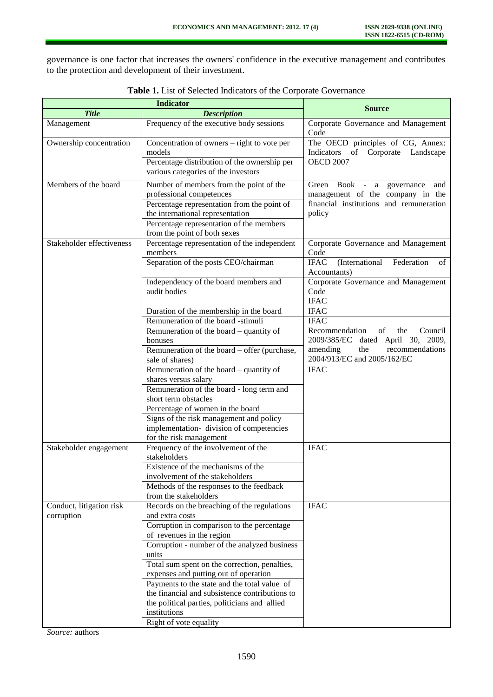governance is one factor that increases the owners' confidence in the executive management and contributes to the protection and development of their investment.

| <b>Indicator</b>          |                                                                                       | <b>Source</b>                                                               |
|---------------------------|---------------------------------------------------------------------------------------|-----------------------------------------------------------------------------|
| <b>Title</b>              | <b>Description</b>                                                                    |                                                                             |
| Management                | Frequency of the executive body sessions                                              | Corporate Governance and Management<br>Code                                 |
| Ownership concentration   | Concentration of owners – right to vote per<br>models                                 | The OECD principles of CG, Annex:<br>Indicators<br>of Corporate Landscape   |
|                           | Percentage distribution of the ownership per<br>various categories of the investors   | <b>OECD 2007</b>                                                            |
|                           |                                                                                       |                                                                             |
| Members of the board      | Number of members from the point of the                                               | Green Book - a governance<br>and                                            |
|                           | professional competences                                                              | management of the company in the<br>financial institutions and remuneration |
|                           | Percentage representation from the point of                                           | policy                                                                      |
|                           | the international representation<br>Percentage representation of the members          |                                                                             |
|                           | from the point of both sexes                                                          |                                                                             |
| Stakeholder effectiveness | Percentage representation of the independent<br>members                               | Corporate Governance and Management<br>Code                                 |
|                           | Separation of the posts CEO/chairman                                                  | <b>IFAC</b><br>(International<br>Federation<br>of                           |
|                           | Independency of the board members and                                                 | Accountants)<br>Corporate Governance and Management                         |
|                           | audit bodies                                                                          | Code<br><b>IFAC</b>                                                         |
|                           | Duration of the membership in the board                                               | <b>IFAC</b>                                                                 |
|                           | Remuneration of the board -stimuli                                                    | <b>IFAC</b>                                                                 |
|                           | Remuneration of the board – quantity of                                               | Recommendation<br>of<br>the<br>Council                                      |
|                           | bonuses                                                                               | 2009/385/EC<br>dated April 30, 2009,                                        |
|                           | Remuneration of the board – offer (purchase,                                          | amending<br>the<br>recommendations                                          |
|                           | sale of shares)                                                                       | 2004/913/EC and 2005/162/EC                                                 |
|                           | Remuneration of the board – quantity of<br>shares versus salary                       | <b>IFAC</b>                                                                 |
|                           | Remuneration of the board - long term and                                             |                                                                             |
|                           | short term obstacles                                                                  |                                                                             |
|                           | Percentage of women in the board                                                      |                                                                             |
|                           | Signs of the risk management and policy                                               |                                                                             |
|                           | implementation- division of competencies                                              |                                                                             |
|                           | for the risk management                                                               |                                                                             |
| Stakeholder engagement    | Frequency of the involvement of the<br>stakeholders                                   | <b>IFAC</b>                                                                 |
|                           | Existence of the mechanisms of the                                                    |                                                                             |
|                           | involvement of the stakeholders                                                       |                                                                             |
|                           | Methods of the responses to the feedback                                              |                                                                             |
|                           | from the stakeholders                                                                 |                                                                             |
| Conduct, litigation risk  | Records on the breaching of the regulations                                           | <b>IFAC</b>                                                                 |
| corruption                | and extra costs                                                                       |                                                                             |
|                           | Corruption in comparison to the percentage                                            |                                                                             |
|                           | of revenues in the region                                                             |                                                                             |
|                           | Corruption - number of the analyzed business                                          |                                                                             |
|                           | units                                                                                 |                                                                             |
|                           | Total sum spent on the correction, penalties,                                         |                                                                             |
|                           | expenses and putting out of operation<br>Payments to the state and the total value of |                                                                             |
|                           | the financial and subsistence contributions to                                        |                                                                             |
|                           | the political parties, politicians and allied                                         |                                                                             |
|                           | institutions                                                                          |                                                                             |
|                           | Right of vote equality                                                                |                                                                             |

**Table 1.** List of Selected Indicators of the Corporate Governance

*Source:* authors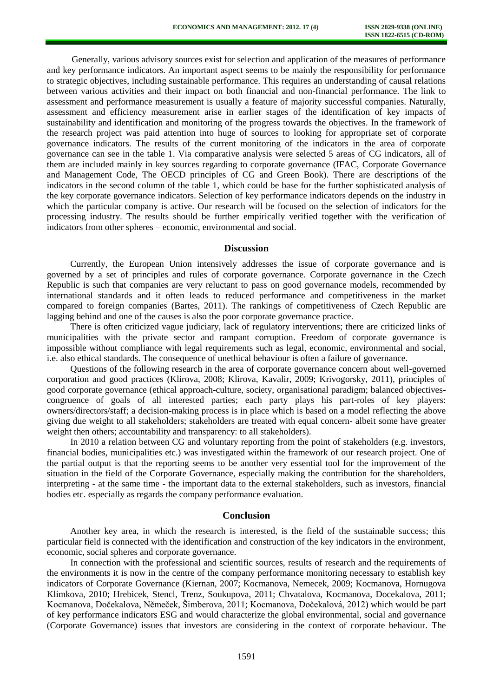Generally, various advisory sources exist for selection and application of the measures of performance and key performance indicators. An important aspect seems to be mainly the responsibility for performance to strategic objectives, including sustainable performance. This requires an understanding of causal relations between various activities and their impact on both financial and non-financial performance. The link to assessment and performance measurement is usually a feature of majority successful companies. Naturally, assessment and efficiency measurement arise in earlier stages of the identification of key impacts of sustainability and identification and monitoring of the progress towards the objectives. In the framework of the research project was paid attention into huge of sources to looking for appropriate set of corporate governance indicators. The results of the current monitoring of the indicators in the area of corporate governance can see in the table 1. Via comparative analysis were selected 5 areas of CG indicators, all of them are included mainly in key sources regarding to corporate governance (IFAC, Corporate Governance and Management Code, The OECD principles of CG and Green Book). There are descriptions of the indicators in the second column of the table 1, which could be base for the further sophisticated analysis of the key corporate governance indicators. Selection of key performance indicators depends on the industry in which the particular company is active. Our research will be focused on the selection of indicators for the processing industry. The results should be further empirically verified together with the verification of indicators from other spheres – economic, environmental and social.

### **Discussion**

Currently, the European Union intensively addresses the issue of corporate governance and is governed by a set of principles and rules of corporate governance. Corporate governance in the Czech Republic is such that companies are very reluctant to pass on good governance models, recommended by international standards and it often leads to reduced performance and competitiveness in the market compared to foreign companies (Bartes, 2011). The rankings of competitiveness of Czech Republic are lagging behind and one of the causes is also the poor corporate governance practice.

There is often criticized vague judiciary, lack of regulatory interventions; there are criticized links of municipalities with the private sector and rampant corruption. Freedom of corporate governance is impossible without compliance with legal requirements such as legal, economic, environmental and social, i.e. also ethical standards. The consequence of unethical behaviour is often a failure of governance.

Questions of the following research in the area of corporate governance concern about well-governed corporation and good practices (Klirova, 2008; Klirova, Kavalir, 2009; Krivogorsky, 2011), principles of good corporate governance (ethical approach-culture, society, organisational paradigm; balanced objectivescongruence of goals of all interested parties; each party plays his part-roles of key players: owners/directors/staff; a decision-making process is in place which is based on a model reflecting the above giving due weight to all stakeholders; stakeholders are treated with equal concern- albeit some have greater weight then others; accountability and transparency: to all stakeholders).

In 2010 a relation between CG and voluntary reporting from the point of stakeholders (e.g. investors, financial bodies, municipalities etc.) was investigated within the framework of our research project. One of the partial output is that the reporting seems to be another very essential tool for the improvement of the situation in the field of the Corporate Governance, especially making the contribution for the shareholders, interpreting - at the same time - the important data to the external stakeholders, such as investors, financial bodies etc. especially as regards the company performance evaluation.

#### **Conclusion**

Another key area, in which the research is interested, is the field of the sustainable success; this particular field is connected with the identification and construction of the key indicators in the environment, economic, social spheres and corporate governance.

In connection with the professional and scientific sources, results of research and the requirements of the environments it is now in the centre of the company performance monitoring necessary to establish key indicators of Corporate Governance (Kiernan, 2007; Kocmanova, Nemecek, 2009; Kocmanova, Hornugova Klimkova, 2010; Hrebicek, Stencl, Trenz, Soukupova, 2011; Chvatalova, Kocmanova, Docekalova, 2011; Kocmanova, Dočekalova, Němeček, Šimberova, 2011; Kocmanova, Dočekalová, 2012) which would be part of key performance indicators ESG and would characterize the global environmental, social and governance (Corporate Governance) issues that investors are considering in the context of corporate behaviour. The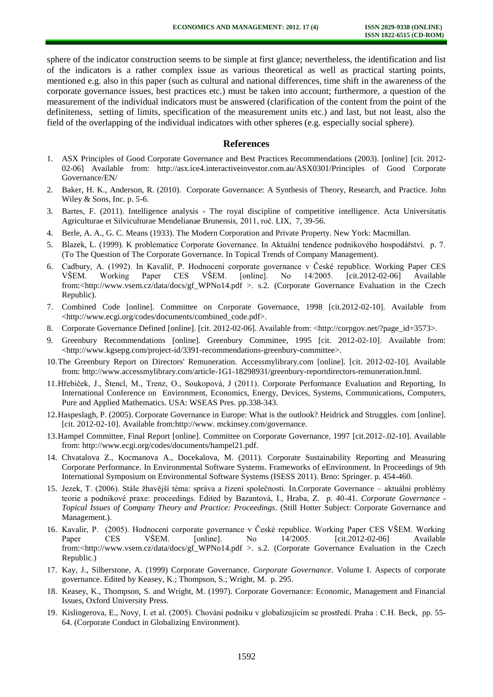sphere of the indicator construction seems to be simple at first glance; nevertheless, the identification and list of the indicators is a rather complex issue as various theoretical as well as practical starting points, mentioned e.g. also in this paper (such as cultural and national differences, time shift in the awareness of the corporate governance issues, best practices etc.) must be taken into account; furthermore, a question of the measurement of the individual indicators must be answered (clarification of the content from the point of the definiteness, setting of limits, specification of the measurement units etc.) and last, but not least, also the field of the overlapping of the individual indicators with other spheres (e.g. especially social sphere).

#### **References**

- 1. ASX Principles of Good Corporate Governance and Best Practices Recommendations (2003). [online] [cit. 2012- 02-06] Available from: [http://asx.ice4.interactiveinvestor.com.au/ASX0301/Principles of Good Corporate](http://asx.ice4.interactiveinvestor.com.au/ASX0301/Principles%20of%20Good%20Corporate%20Governance/EN/)  [Governance/EN/](http://asx.ice4.interactiveinvestor.com.au/ASX0301/Principles%20of%20Good%20Corporate%20Governance/EN/)
- 2. Baker, H. K., Anderson, R. (2010). Corporate Governance: A Synthesis of Theory, Research, and Practice. John Wiley & Sons, Inc. p. 5-6.
- 3. Bartes, F. (2011). Intelligence analysis The royal discipline of competitive intelligence. Acta Universitatis Agriculturae et Silviculturae Mendelianae Brunensis, 2011, roč. LIX, 7, 39-56.
- 4. Berle, A. A., G. C. Means (1933). The Modern Corporation and Private Property. New York: Macmillan.
- 5. Blazek, L. (1999). K problematice Corporate Governance. In Aktuální tendence podnikového hospodářství. p. 7. (To The Question of The Corporate Governance. In Topical Trends of Company Management).
- 6. Cadbury, A. (1992). In Kavalíř, P. Hodnocení corporate governance v České republice. Working Paper CES VŠEM. Working Paper CES VŠEM. [online]. No 14/2005. [cit.2012-02-06] Available from:<http://www.vsem.cz/data/docs/gf\_WPNo14.pdf >. s.2. (Corporate Governance Evaluation in the Czech Republic).
- 7. Combined Code [online]. Committee on Corporate Governance, 1998 [cit.2012-02-10]. Available from <http://www.ecgi.org/codes/documents/combined\_code.pdf>.
- 8. Corporate Governance Defined [online]. [cit. 2012-02-06]. Available from: <http://corpgov.net/?page\_id=3573>.
- 9. Greenbury Recommendations [online]. Greenbury Committee, 1995 [cit. 2012-02-10]. Available from: <http://www.kgsepg.com/project-id/3391-recommendations-greenbury-committee>.
- 10.The Greenbury Report on Directors' Remuneration. Accessmylibrary.com [online]. [cit. 2012-02-10]. Available from: [http://www.accessmylibrary.com/article-1G1-18298931/greenbury-reportdirectors-remuneration.html.](http://www.accessmylibrary.com/article-1G1-18298931/greenbury-reportdirectors-remuneration.html)
- 11.Hřebíček, J., Štencl, M., Trenz, O., Soukopová, J (2011). Corporate Performance Evaluation and Reporting, In International Conference on Environment, Economics, Energy, Devices, Systems, Communications, Computers, Pure and Applied Mathematics. USA: WSEAS Pres. pp.338-343.
- 12.Haspeslagh, P. (2005). Corporate Governance in Europe: What is the outlook? Heidrick and Struggles. com [online]. [cit. 2012-02-10]. Available from:http://www. mckinsey.com/governance.
- 13.Hampel Committee, Final Report [online]. Committee on Corporate Governance, 1997 [cit.2012-.02-10]. Available from: [http://www.ecgi.org/codes/documents/hampel21.pdf.](http://www.ecgi.org/codes/documents/hampel21.pdf)
- 14. Chvatalova Z., Kocmanova A., Docekalova, M. (2011). Corporate Sustainability Reporting and Measuring Corporate Performance. In Environmental Software Systems. Frameworks of eEnvironment. In Proceedings of 9th International Symposium on Environmental Software Systems (ISESS 2011). Brno: Springer. p. 454-460.
- 15. Jezek, T. (2006). Stále žhavější téma: správa a řízení společnosti. In.Corporate Governance aktuální problémy teorie a podnikové praxe: proceedings. Edited by Bazantová, I., Hraba, Z. p. 40-41. *Corporate Governance* - *Topical Issues of Company Theory and Practice: Proceedings*. (Still Hotter Subject: Corporate Governance and Management.).
- 16. Kavalir, P. (2005). Hodnocení corporate governance v České republice. Working Paper CES VŠEM. Working Paper CES VŠEM. [online]. No 14/2005. [cit.2012-02-06] Available from:<http://www.vsem.cz/data/docs/gf\_WPNo14.pdf >. s.2. (Corporate Governance Evaluation in the Czech Republic.)
- 17. Kay, J., Silberstone, A. (1999) Corporate Governance. *Corporate Governance*. Volume I. Aspects of corporate governance. Edited by Keasey, K.; Thompson, S.; Wright, M. p. 295.
- 18. Keasey, K., Thompson, S. and Wright, M. (1997). Corporate Governance: Economic, Management and Financial Issues, Oxford University Press.
- 19. Kislingerova, E., Novy, I. et al. (2005). Chování podniku v globalizujícím se prostředí. Praha : C.H. Beck, pp. 55- 64. (Corporate Conduct in Globalizing Environment).